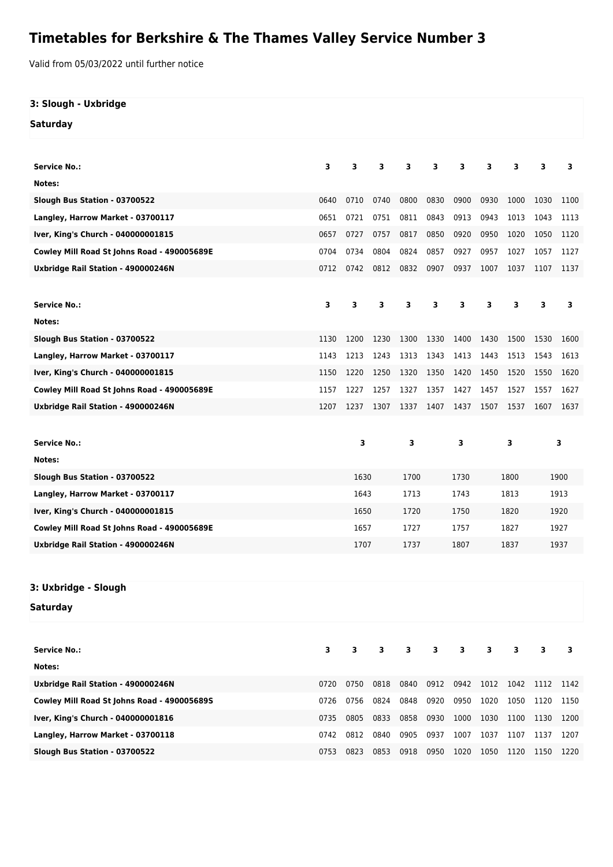## **Timetables for Berkshire & The Thames Valley Service Number 3**

Valid from 05/03/2022 until further notice

| 3: Slough - Uxbridge                        |      |      |              |      |      |      |      |                |      |      |
|---------------------------------------------|------|------|--------------|------|------|------|------|----------------|------|------|
| <b>Saturday</b>                             |      |      |              |      |      |      |      |                |      |      |
|                                             |      |      |              |      |      |      |      |                |      |      |
| <b>Service No.:</b>                         | 3    | 3    | 3            | 3    | 3    | 3    | 3    | 3              | 3    | 3    |
| Notes:                                      |      |      |              |      |      |      |      |                |      |      |
| Slough Bus Station - 03700522               | 0640 | 0710 | 0740         | 0800 | 0830 | 0900 | 0930 | 1000           | 1030 | 1100 |
| Langley, Harrow Market - 03700117           | 0651 | 0721 | 0751         | 0811 | 0843 | 0913 | 0943 | 1013           | 1043 | 1113 |
| Iver, King's Church - 040000001815          | 0657 | 0727 | 0757         | 0817 | 0850 | 0920 | 0950 | 1020           | 1050 | 1120 |
| Cowley Mill Road St Johns Road - 490005689E | 0704 | 0734 | 0804         | 0824 | 0857 | 0927 | 0957 | 1027           | 1057 | 1127 |
| Uxbridge Rail Station - 490000246N          | 0712 | 0742 | 0812         | 0832 | 0907 | 0937 | 1007 | 1037           | 1107 | 1137 |
|                                             |      |      |              |      |      |      |      |                |      |      |
| <b>Service No.:</b>                         | 3    | 3    | з            | 3    | 3    | 3    | 3    | 3              | 3    | 3    |
| Notes:                                      |      |      |              |      |      |      |      |                |      |      |
| Slough Bus Station - 03700522               | 1130 | 1200 | 1230         | 1300 | 1330 | 1400 | 1430 | 1500           | 1530 | 1600 |
| Langley, Harrow Market - 03700117           | 1143 | 1213 | 1243         | 1313 | 1343 | 1413 | 1443 | 1513           | 1543 | 1613 |
| Iver, King's Church - 040000001815          | 1150 | 1220 | 1250         | 1320 | 1350 | 1420 | 1450 | 1520           | 1550 | 1620 |
| Cowley Mill Road St Johns Road - 490005689E | 1157 | 1227 | 1257         | 1327 | 1357 | 1427 | 1457 | 1527           | 1557 | 1627 |
| Uxbridge Rail Station - 490000246N          | 1207 | 1237 | 1307         | 1337 | 1407 | 1437 | 1507 | 1537           | 1607 | 1637 |
|                                             |      |      |              |      |      |      |      |                |      |      |
| <b>Service No.:</b>                         |      | 3    |              | 3    |      | 3    | 3    |                | 3    |      |
|                                             |      |      |              |      |      |      |      |                |      |      |
| Notes:                                      |      |      |              |      |      |      |      |                |      |      |
| Slough Bus Station - 03700522               |      | 1630 |              | 1700 |      | 1730 |      | 1800           |      | 1900 |
| Langley, Harrow Market - 03700117           |      | 1643 |              | 1713 |      | 1743 |      | 1813           |      | 1913 |
| Iver, King's Church - 040000001815          |      | 1650 |              | 1720 |      | 1750 |      | 1820           |      | 1920 |
| Cowley Mill Road St Johns Road - 490005689E |      | 1657 |              | 1727 |      | 1757 |      | 1827           |      | 1927 |
| Uxbridge Rail Station - 490000246N          |      | 1707 |              | 1737 |      | 1807 |      | 1837           |      | 1937 |
|                                             |      |      |              |      |      |      |      |                |      |      |
|                                             |      |      |              |      |      |      |      |                |      |      |
| 3: Uxbridge - Slough                        |      |      |              |      |      |      |      |                |      |      |
| <b>Saturday</b>                             |      |      |              |      |      |      |      |                |      |      |
|                                             |      |      |              |      |      |      |      |                |      |      |
| <b>Service No.:</b>                         | 3    | 3    | 3            | 3    | 3    | 3    | 3    | 3              | 3    | 3    |
| Notes:                                      |      |      |              |      |      |      |      |                |      |      |
| Uxbridge Rail Station - 490000246N          | 0720 | 0750 | 0818         | 0840 | 0912 | 0942 |      | 1012 1042 1112 |      | 1142 |
| Cowley Mill Road St Johns Road - 490005689S | 0726 | 0756 | 0824<br>0833 | 0848 | 0920 | 0950 | 1020 | 1050           | 1120 | 1150 |

**Langley, Harrow Market - 03700118** 0742 0812 0840 0905 0937 1007 1037 1107 1137 1207 **Slough Bus Station - 03700522** 0753 0823 0853 0918 0950 1020 1050 1120 1150 1220